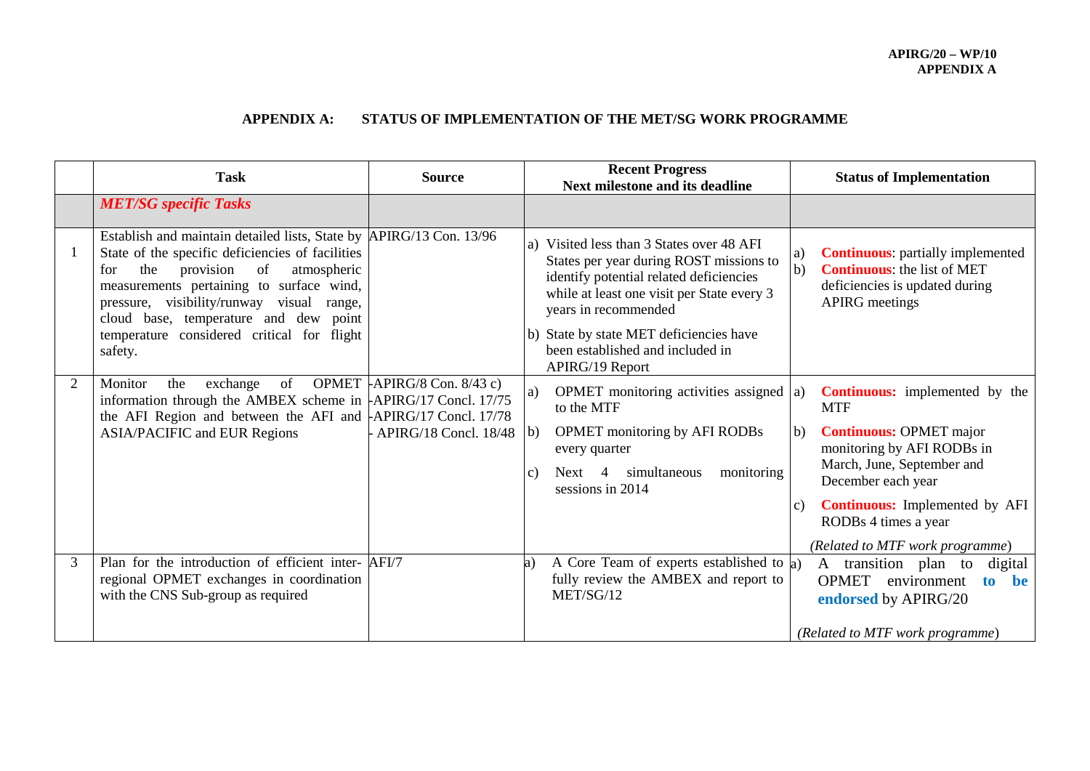## **APPENDIX A: STATUS OF IMPLEMENTATION OF THE MET/SG WORK PROGRAMME**

|                | <b>Task</b>                                                                                                                                                                                                                                                                                                                                                                   | <b>Source</b>                                           | <b>Recent Progress</b><br><b>Next milestone and its deadline</b>                                                                                                                                                                                                                                           | <b>Status of Implementation</b>                                                                                                                                                                                                                                                                                     |
|----------------|-------------------------------------------------------------------------------------------------------------------------------------------------------------------------------------------------------------------------------------------------------------------------------------------------------------------------------------------------------------------------------|---------------------------------------------------------|------------------------------------------------------------------------------------------------------------------------------------------------------------------------------------------------------------------------------------------------------------------------------------------------------------|---------------------------------------------------------------------------------------------------------------------------------------------------------------------------------------------------------------------------------------------------------------------------------------------------------------------|
|                | <b>MET/SG</b> specific Tasks                                                                                                                                                                                                                                                                                                                                                  |                                                         |                                                                                                                                                                                                                                                                                                            |                                                                                                                                                                                                                                                                                                                     |
|                | Establish and maintain detailed lists, State by APIRG/13 Con. 13/96<br>State of the specific deficiencies of facilities<br>the<br>provision<br><sub>of</sub><br>atmospheric<br>for<br>measurements pertaining to surface wind,<br>pressure, visibility/runway visual range,<br>cloud base, temperature and dew point<br>temperature considered critical for flight<br>safety. |                                                         | Visited less than 3 States over 48 AFI<br>a)<br>States per year during ROST missions to<br>identify potential related deficiencies<br>while at least one visit per State every 3<br>years in recommended<br>b) State by state MET deficiencies have<br>been established and included in<br>APIRG/19 Report | <b>Continuous:</b> partially implemented<br> a)<br><b>Continuous:</b> the list of MET<br>$\vert b)$<br>deficiencies is updated during<br><b>APIRG</b> meetings                                                                                                                                                      |
| $\overline{2}$ | of<br>Monitor<br>exchange<br>the<br>information through the AMBEX scheme in $\text{APIRG}/\text{17}$ Concl. 17/75<br>the AFI Region and between the AFI and $APIRG/17$ Concl. 17/78<br><b>ASIA/PACIFIC and EUR Regions</b>                                                                                                                                                    | OPMET $APIRG/8$ Con. 8/43 c)<br>- APIRG/18 Concl. 18/48 | OPMET monitoring activities assigned $ a\rangle$<br>a)<br>to the MTF<br><b>OPMET</b> monitoring by AFI RODBs<br>  <sub>b</sub><br>every quarter<br>Next 4 simultaneous<br>monitoring<br>$\mathcal{C}$ )<br>sessions in 2014                                                                                | <b>Continuous:</b> implemented by the<br><b>MTF</b><br><b>Continuous: OPMET major</b><br>$\vert b \rangle$<br>monitoring by AFI RODBs in<br>March, June, September and<br>December each year<br><b>Continuous:</b> Implemented by AFI<br>$\mathcal{C}$ )<br>RODBs 4 times a year<br>(Related to MTF work programme) |
| 3              | Plan for the introduction of efficient inter- AFI/7<br>regional OPMET exchanges in coordination<br>with the CNS Sub-group as required                                                                                                                                                                                                                                         |                                                         | A Core Team of experts established to $\alpha$ )<br>a)<br>fully review the AMBEX and report to<br>MET/SG/12                                                                                                                                                                                                | A transition plan to<br>digital<br><b>OPMET</b><br>environment<br>to<br>he<br>endorsed by APIRG/20<br>(Related to MTF work programme)                                                                                                                                                                               |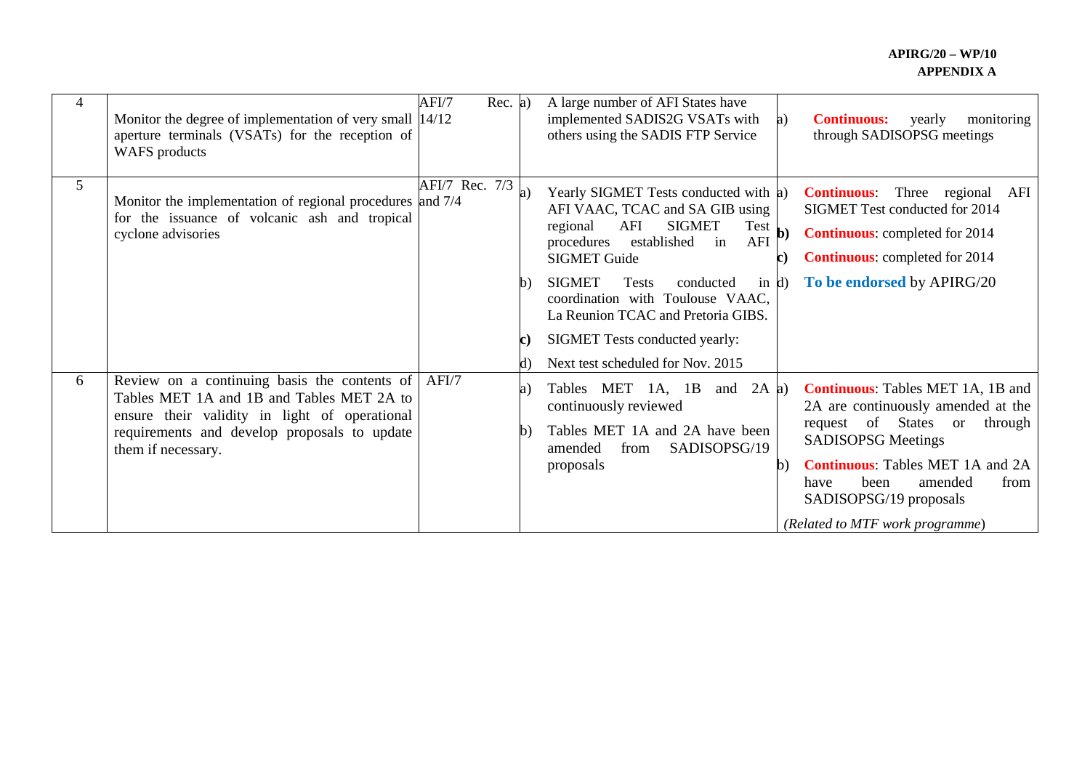| 4              | Monitor the degree of implementation of very small 14/12<br>aperture terminals (VSATs) for the reception of<br><b>WAFS</b> products                                                                                    | AFI/7          | Rec. a) | A large number of AFI States have<br>implemented SADIS2G VSATs with<br><b>Continuous:</b><br>yearly<br>monitoring<br>a)<br>others using the SADIS FTP Service<br>through SADISOPSG meetings                                                                                                                                                                                                                                                                                                                                                                                                                                      |
|----------------|------------------------------------------------------------------------------------------------------------------------------------------------------------------------------------------------------------------------|----------------|---------|----------------------------------------------------------------------------------------------------------------------------------------------------------------------------------------------------------------------------------------------------------------------------------------------------------------------------------------------------------------------------------------------------------------------------------------------------------------------------------------------------------------------------------------------------------------------------------------------------------------------------------|
| 5 <sup>1</sup> | Monitor the implementation of regional procedures and 7/4<br>for the issuance of volcanic ash and tropical<br>cyclone advisories                                                                                       | AFI/7 Rec. 7/3 |         | Yearly SIGMET Tests conducted with a)<br>Three regional AFI<br><b>Continuous:</b><br>AFI VAAC, TCAC and SA GIB using<br>SIGMET Test conducted for 2014<br><b>SIGMET</b><br>AFI<br>$Test$ b)<br>regional<br><b>Continuous:</b> completed for 2014<br>AFI<br>established<br>procedures<br>in<br><b>Continuous:</b> completed for 2014<br><b>SIGMET Guide</b><br>$\mathbf c$<br>To be endorsed by APIRG/20<br><b>SIGMET</b><br><b>Tests</b><br>conducted<br>in $d$<br>$\mathbf{b}$<br>coordination with Toulouse VAAC,<br>La Reunion TCAC and Pretoria GIBS.<br>SIGMET Tests conducted yearly:<br>Next test scheduled for Nov. 2015 |
| 6              | Review on a continuing basis the contents of AFI/7<br>Tables MET 1A and 1B and Tables MET 2A to<br>ensure their validity in light of operational<br>requirements and develop proposals to update<br>them if necessary. |                |         | <b>Continuous:</b> Tables MET 1A, 1B and<br>Tables MET<br>and $2A$ a)<br>$1A$ , $1B$<br>a)<br>continuously reviewed<br>2A are continuously amended at the<br>request of States<br>through<br><sub>or</sub><br>Tables MET 1A and 2A have been<br>h)<br><b>SADISOPSG Meetings</b><br>amended<br>from<br>SADISOPSG/19<br><b>Continuous:</b> Tables MET 1A and 2A<br>proposals<br>$\mathbf b)$<br>been<br>amended<br>from<br>have<br>SADISOPSG/19 proposals<br>(Related to MTF work programme)                                                                                                                                       |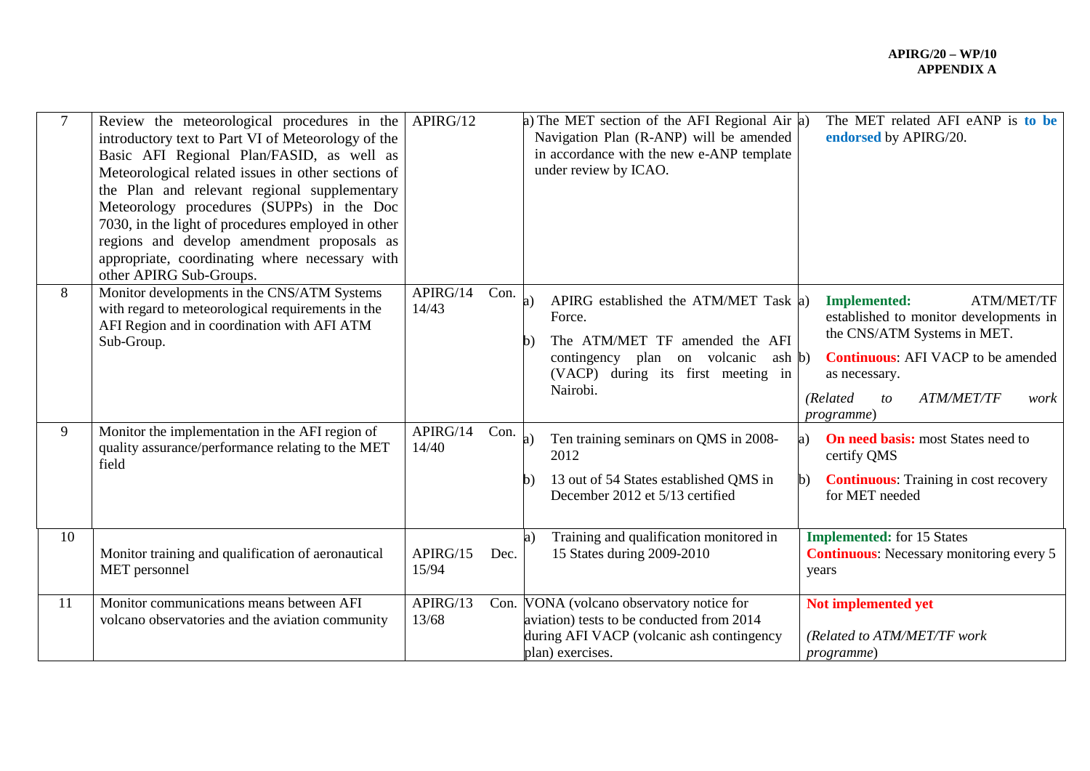| $\overline{7}$ | Review the meteorological procedures in the $APIRG/12$<br>introductory text to Part VI of Meteorology of the<br>Basic AFI Regional Plan/FASID, as well as<br>Meteorological related issues in other sections of<br>the Plan and relevant regional supplementary<br>Meteorology procedures (SUPPs) in the Doc<br>7030, in the light of procedures employed in other<br>regions and develop amendment proposals as<br>appropriate, coordinating where necessary with<br>other APIRG Sub-Groups. |                   |      | a) The MET section of the AFI Regional Air $ a\rangle$<br>Navigation Plan (R-ANP) will be amended<br>in accordance with the new e-ANP template<br>under review by ICAO.                   | The MET related AFI eANP is to be<br>endorsed by APIRG/20.                                                                                                                                                                                                       |
|----------------|-----------------------------------------------------------------------------------------------------------------------------------------------------------------------------------------------------------------------------------------------------------------------------------------------------------------------------------------------------------------------------------------------------------------------------------------------------------------------------------------------|-------------------|------|-------------------------------------------------------------------------------------------------------------------------------------------------------------------------------------------|------------------------------------------------------------------------------------------------------------------------------------------------------------------------------------------------------------------------------------------------------------------|
| 8              | Monitor developments in the CNS/ATM Systems<br>with regard to meteorological requirements in the<br>AFI Region and in coordination with AFI ATM<br>Sub-Group.                                                                                                                                                                                                                                                                                                                                 | APIRG/14<br>14/43 | Con. | APIRG established the ATM/MET Task a)<br>a)<br>Force.<br>The ATM/MET TF amended the AFI<br>b)<br>contingency plan on volcanic<br>ash b)<br>(VACP) during its first meeting in<br>Nairobi. | <b>Implemented:</b><br><b>ATM/MET/TF</b><br>established to monitor developments in<br>the CNS/ATM Systems in MET.<br><b>Continuous:</b> AFI VACP to be amended<br>as necessary.<br>(Related<br><b>ATM/MET/TF</b><br>$\mathfrak{c}$<br>work<br><i>programme</i> ) |
| 9              | Monitor the implementation in the AFI region of<br>quality assurance/performance relating to the MET<br>field                                                                                                                                                                                                                                                                                                                                                                                 | APIRG/14<br>14/40 | Con. | Ten training seminars on QMS in 2008-<br>2012<br>13 out of 54 States established QMS in<br>b)<br>December 2012 et 5/13 certified                                                          | <b>On need basis:</b> most States need to<br>certify QMS<br><b>Continuous:</b> Training in cost recovery<br>for MET needed                                                                                                                                       |
| 10             | Monitor training and qualification of aeronautical<br>MET personnel                                                                                                                                                                                                                                                                                                                                                                                                                           | APIRG/15<br>15/94 | Dec. | Training and qualification monitored in<br>15 States during 2009-2010                                                                                                                     | <b>Implemented:</b> for 15 States<br><b>Continuous:</b> Necessary monitoring every 5<br>years                                                                                                                                                                    |
| 11             | Monitor communications means between AFI<br>volcano observatories and the aviation community                                                                                                                                                                                                                                                                                                                                                                                                  | APIRG/13<br>13/68 |      | Con. VONA (volcano observatory notice for<br>aviation) tests to be conducted from 2014<br>during AFI VACP (volcanic ash contingency<br>plan) exercises.                                   | Not implemented yet<br>(Related to ATM/MET/TF work<br>programme)                                                                                                                                                                                                 |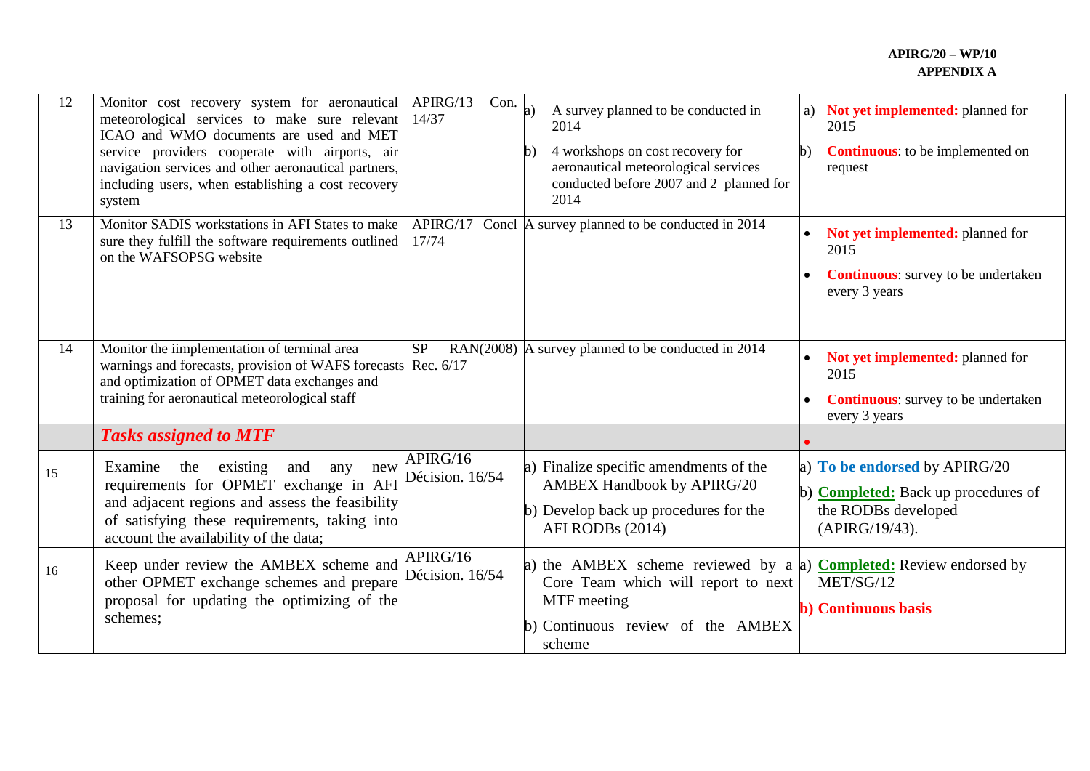## **APIRG/20 – WP/10 APPENDIX A**

| 12 | Monitor cost recovery system for aeronautical<br>meteorological services to make sure relevant<br>ICAO and WMO documents are used and MET<br>service providers cooperate with airports, air<br>navigation services and other aeronautical partners,<br>including users, when establishing a cost recovery<br>system | Con.<br>APIRG/13<br>14/37   | A survey planned to be conducted in<br>a)<br>2014<br>4 workshops on cost recovery for<br>b)<br>aeronautical meteorological services<br>conducted before 2007 and 2 planned for<br>2014 | Not yet implemented: planned for<br>a)<br>2015<br><b>Continuous:</b> to be implemented on<br>b)<br>request           |
|----|---------------------------------------------------------------------------------------------------------------------------------------------------------------------------------------------------------------------------------------------------------------------------------------------------------------------|-----------------------------|----------------------------------------------------------------------------------------------------------------------------------------------------------------------------------------|----------------------------------------------------------------------------------------------------------------------|
| 13 | Monitor SADIS workstations in AFI States to make<br>sure they fulfill the software requirements outlined<br>on the WAFSOPSG website                                                                                                                                                                                 | 17/74                       | APIRG/17 Concl $\vert$ A survey planned to be conducted in 2014                                                                                                                        | Not yet implemented: planned for<br>2015<br><b>Continuous:</b> survey to be undertaken<br>every 3 years              |
| 14 | Monitor the iimplementation of terminal area<br>warnings and forecasts, provision of WAFS forecasts<br>and optimization of OPMET data exchanges and<br>training for aeronautical meteorological staff                                                                                                               | <b>SP</b><br>Rec. 6/17      | RAN(2008) $\vert$ A survey planned to be conducted in 2014                                                                                                                             | Not yet implemented: planned for<br>2015<br><b>Continuous:</b> survey to be undertaken<br>every 3 years              |
|    | <b>Tasks assigned to MTF</b>                                                                                                                                                                                                                                                                                        |                             |                                                                                                                                                                                        |                                                                                                                      |
| 15 | existing<br>Examine<br>the<br>and<br>any<br>new<br>requirements for OPMET exchange in AFI<br>and adjacent regions and assess the feasibility<br>of satisfying these requirements, taking into<br>account the availability of the data;                                                                              | APIRG/16<br>Décision. 16/54 | Finalize specific amendments of the<br>a)<br><b>AMBEX Handbook by APIRG/20</b><br>b) Develop back up procedures for the<br>AFI RODBs (2014)                                            | a) To be endorsed by APIRG/20<br>b) <b>Completed:</b> Back up procedures of<br>the RODBs developed<br>(APIRG/19/43). |
| 16 | Keep under review the AMBEX scheme and<br>other OPMET exchange schemes and prepare<br>proposal for updating the optimizing of the<br>schemes;                                                                                                                                                                       | APIRG/16<br>Décision. 16/54 | the AMBEX scheme reviewed by a a)<br>a)<br>Core Team which will report to next<br>MTF meeting<br>b) Continuous review of the AMBEX<br>scheme                                           | <b>Completed:</b> Review endorsed by<br>MET/SG/12<br><b>b</b> ) Continuous basis                                     |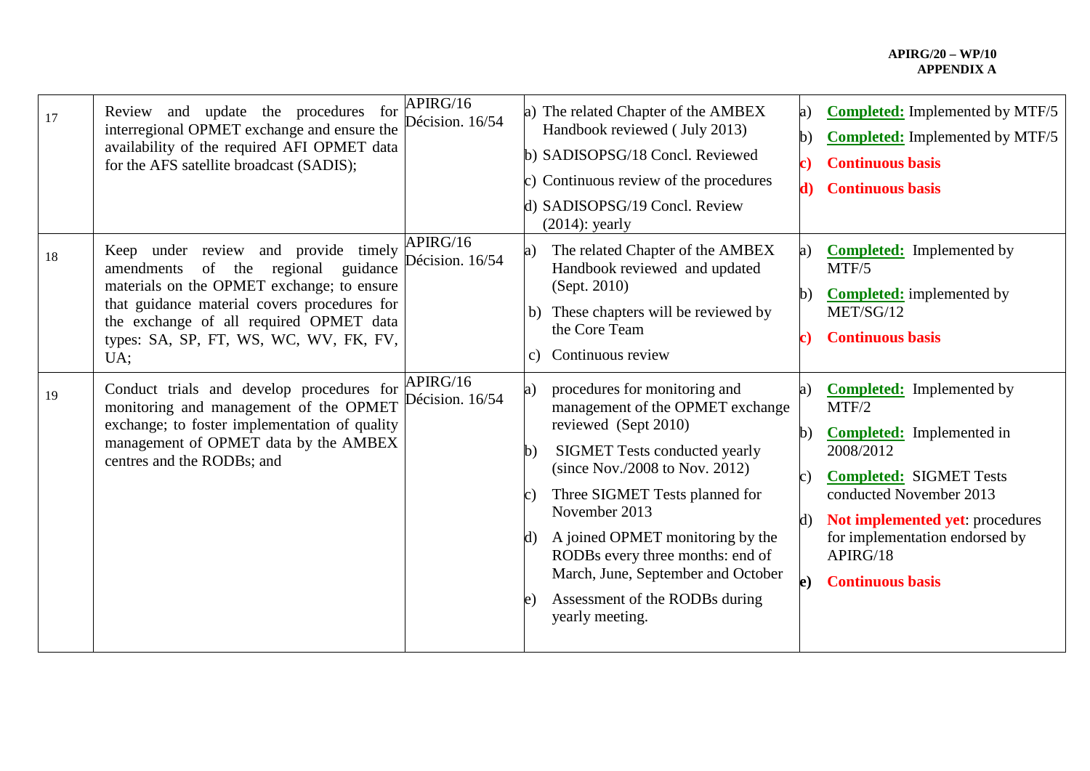## **APIRG/20 – WP/10 APPENDIX A**

| 17 | Review and update the procedures for<br>interregional OPMET exchange and ensure the<br>availability of the required AFI OPMET data<br>for the AFS satellite broadcast (SADIS);                                                                                                 | APIRG/16<br>Décision. 16/54 | a)<br>$\cup$                | The related Chapter of the AMBEX<br>Handbook reviewed (July 2013)<br>b) SADISOPSG/18 Concl. Reviewed<br>Continuous review of the procedures<br>d) SADISOPSG/19 Concl. Review<br>$(2014)$ : yearly                                                                                                                                                                                            | a)<br>b)<br>c)<br>d)                       | <b>Completed:</b> Implemented by MTF/5<br><b>Completed:</b> Implemented by MTF/5<br><b>Continuous basis</b><br><b>Continuous basis</b>                                                                                                                              |
|----|--------------------------------------------------------------------------------------------------------------------------------------------------------------------------------------------------------------------------------------------------------------------------------|-----------------------------|-----------------------------|----------------------------------------------------------------------------------------------------------------------------------------------------------------------------------------------------------------------------------------------------------------------------------------------------------------------------------------------------------------------------------------------|--------------------------------------------|---------------------------------------------------------------------------------------------------------------------------------------------------------------------------------------------------------------------------------------------------------------------|
| 18 | Keep under review and provide timely<br>amendments<br>regional<br>of the<br>guidance<br>materials on the OPMET exchange; to ensure<br>that guidance material covers procedures for<br>the exchange of all required OPMET data<br>types: SA, SP, FT, WS, WC, WV, FK, FV,<br>UA: | APIRG/16<br>Décision. 16/54 | a)<br>$\mathcal{C}$ )       | The related Chapter of the AMBEX<br>Handbook reviewed and updated<br>(Sept. 2010)<br>b) These chapters will be reviewed by<br>the Core Team<br>Continuous review                                                                                                                                                                                                                             | a)<br>$\mathbf{b}$                         | <b>Completed:</b> Implemented by<br>MTF/5<br><b>Completed:</b> implemented by<br>MET/SG/12<br><b>Continuous basis</b>                                                                                                                                               |
| 19 | Conduct trials and develop procedures for<br>monitoring and management of the OPMET<br>exchange; to foster implementation of quality<br>management of OPMET data by the AMBEX<br>centres and the RODBs; and                                                                    | APIRG/16<br>Décision. 16/54 | a)<br>b)<br>C l<br>$\bf{e}$ | procedures for monitoring and<br>management of the OPMET exchange<br>reviewed (Sept 2010)<br><b>SIGMET Tests conducted yearly</b><br>(since Nov./2008 to Nov. 2012)<br>Three SIGMET Tests planned for<br>November 2013<br>d) A joined OPMET monitoring by the<br>RODBs every three months: end of<br>March, June, September and October<br>Assessment of the RODBs during<br>yearly meeting. | a)<br>$\mathbf{b}$<br>C)<br>d)<br>$\bf e)$ | <b>Completed:</b> Implemented by<br>MTF/2<br><b>Completed:</b> Implemented in<br>2008/2012<br><b>Completed: SIGMET Tests</b><br>conducted November 2013<br>Not implemented yet: procedures<br>for implementation endorsed by<br>APIRG/18<br><b>Continuous basis</b> |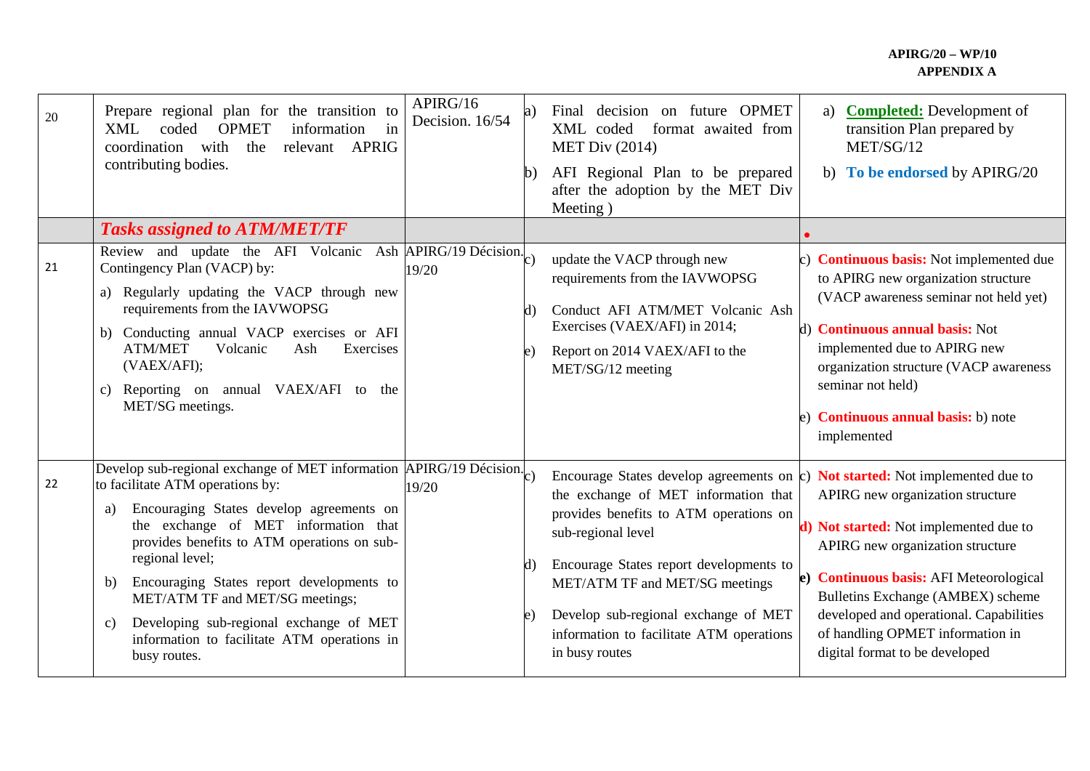## **APIRG/20 – WP/10 APPENDIX A**

| 20 | Prepare regional plan for the transition to<br><b>OPMET</b><br>information<br>coded<br>XML<br>in<br>with<br>coordination<br>the<br>relevant APRIG<br>contributing bodies.                                                                                                                                                                                                                                                                                                                         | APIRG/16<br>Decision. 16/54                  | a)<br>b) | decision on future OPMET<br>Final<br>XML coded<br>format awaited from<br><b>MET Div (2014)</b><br>AFI Regional Plan to be prepared<br>after the adoption by the MET Div<br>Meeting)                                                                                                                                                                                                 | <b>Completed:</b> Development of<br>a)<br>transition Plan prepared by<br>MET/SG/12<br>b) To be endorsed by APIRG/20                                                                                                                                                                                                                   |
|----|---------------------------------------------------------------------------------------------------------------------------------------------------------------------------------------------------------------------------------------------------------------------------------------------------------------------------------------------------------------------------------------------------------------------------------------------------------------------------------------------------|----------------------------------------------|----------|-------------------------------------------------------------------------------------------------------------------------------------------------------------------------------------------------------------------------------------------------------------------------------------------------------------------------------------------------------------------------------------|---------------------------------------------------------------------------------------------------------------------------------------------------------------------------------------------------------------------------------------------------------------------------------------------------------------------------------------|
|    | <b>Tasks assigned to ATM/MET/TF</b>                                                                                                                                                                                                                                                                                                                                                                                                                                                               |                                              |          |                                                                                                                                                                                                                                                                                                                                                                                     |                                                                                                                                                                                                                                                                                                                                       |
| 21 | Review and update the AFI Volcanic<br>Contingency Plan (VACP) by:<br>a) Regularly updating the VACP through new<br>requirements from the IAVWOPSG<br>b) Conducting annual VACP exercises or AFI<br><b>ATM/MET</b><br>Volcanic<br>Exercises<br>Ash<br>(VAEX/AFI);<br>Reporting on annual VAEX/AFI to the<br>C)<br>MET/SG meetings.                                                                                                                                                                 | Ash $\overline{APIRG/19}$ Décision.<br>19/20 | d)<br>e) | update the VACP through new<br>requirements from the IAVWOPSG<br>Conduct AFI ATM/MET Volcanic Ash<br>Exercises (VAEX/AFI) in 2014;<br>Report on 2014 VAEX/AFI to the<br>MET/SG/12 meeting                                                                                                                                                                                           | c) <b>Continuous basis:</b> Not implemented due<br>to APIRG new organization structure<br>(VACP awareness seminar not held yet)<br>d) <b>Continuous annual basis:</b> Not<br>implemented due to APIRG new<br>organization structure (VACP awareness<br>seminar not held)<br>e) <b>Continuous annual basis:</b> b) note<br>implemented |
| 22 | Develop sub-regional exchange of MET information $\overline{APIRG}/19$ Décision.<br>to facilitate ATM operations by:<br>Encouraging States develop agreements on<br>a)<br>the exchange of MET information that<br>provides benefits to ATM operations on sub-<br>regional level;<br>Encouraging States report developments to<br>b)<br>MET/ATM TF and MET/SG meetings;<br>Developing sub-regional exchange of MET<br>$\mathbf{c})$<br>information to facilitate ATM operations in<br>busy routes. | 19/20                                        | d)       | Encourage States develop agreements on $\mathbf c$ ) Not started: Not implemented due to<br>the exchange of MET information that<br>provides benefits to ATM operations on<br>sub-regional level<br>Encourage States report developments to<br>MET/ATM TF and MET/SG meetings<br>Develop sub-regional exchange of MET<br>information to facilitate ATM operations<br>in busy routes | APIRG new organization structure<br>d) Not started: Not implemented due to<br>APIRG new organization structure<br>e) Continuous basis: AFI Meteorological<br>Bulletins Exchange (AMBEX) scheme<br>developed and operational. Capabilities<br>of handling OPMET information in<br>digital format to be developed                       |